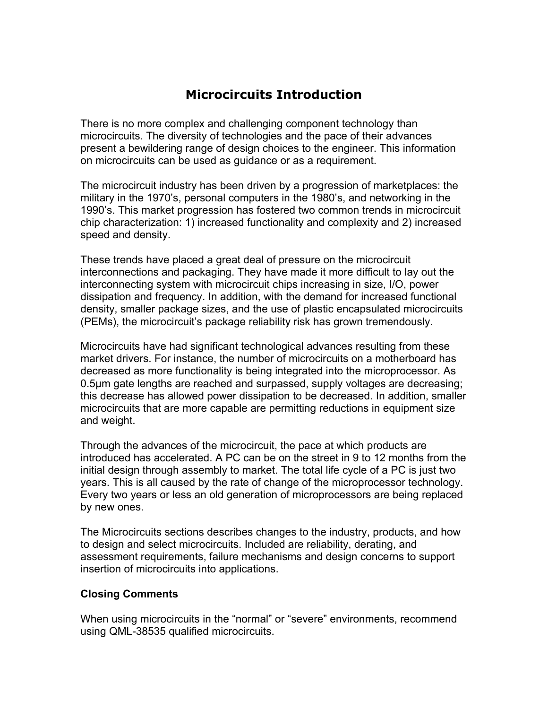## **Microcircuits Introduction**

There is no more complex and challenging component technology than microcircuits. The diversity of technologies and the pace of their advances present a bewildering range of design choices to the engineer. This information on microcircuits can be used as guidance or as a requirement.

The microcircuit industry has been driven by a progression of marketplaces: the military in the 1970's, personal computers in the 1980's, and networking in the 1990's. This market progression has fostered two common trends in microcircuit chip characterization: 1) increased functionality and complexity and 2) increased speed and density.

These trends have placed a great deal of pressure on the microcircuit interconnections and packaging. They have made it more difficult to lay out the interconnecting system with microcircuit chips increasing in size, I/O, power dissipation and frequency. In addition, with the demand for increased functional density, smaller package sizes, and the use of plastic encapsulated microcircuits (PEMs), the microcircuit's package reliability risk has grown tremendously.

Microcircuits have had significant technological advances resulting from these market drivers. For instance, the number of microcircuits on a motherboard has decreased as more functionality is being integrated into the microprocessor. As 0.5µm gate lengths are reached and surpassed, supply voltages are decreasing; this decrease has allowed power dissipation to be decreased. In addition, smaller microcircuits that are more capable are permitting reductions in equipment size and weight.

Through the advances of the microcircuit, the pace at which products are introduced has accelerated. A PC can be on the street in 9 to 12 months from the initial design through assembly to market. The total life cycle of a PC is just two years. This is all caused by the rate of change of the microprocessor technology. Every two years or less an old generation of microprocessors are being replaced by new ones.

The Microcircuits sections describes changes to the industry, products, and how to design and select microcircuits. Included are reliability, derating, and assessment requirements, failure mechanisms and design concerns to support insertion of microcircuits into applications.

## **Closing Comments**

When using microcircuits in the "normal" or "severe" environments, recommend using QML-38535 qualified microcircuits.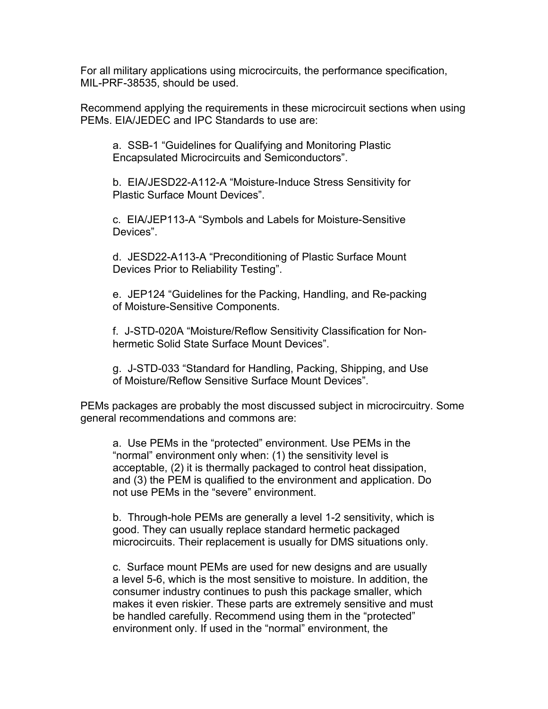For all military applications using microcircuits, the performance specification, MIL-PRF-38535, should be used.

Recommend applying the requirements in these microcircuit sections when using PEMs. EIA/JEDEC and IPC Standards to use are:

a. SSB-1 "Guidelines for Qualifying and Monitoring Plastic Encapsulated Microcircuits and Semiconductors".

b. EIA/JESD22-A112-A "Moisture-Induce Stress Sensitivity for Plastic Surface Mount Devices".

c. EIA/JEP113-A "Symbols and Labels for Moisture-Sensitive Devices".

d. JESD22-A113-A "Preconditioning of Plastic Surface Mount Devices Prior to Reliability Testing".

e. JEP124 "Guidelines for the Packing, Handling, and Re-packing of Moisture-Sensitive Components.

f. J-STD-020A "Moisture/Reflow Sensitivity Classification for Nonhermetic Solid State Surface Mount Devices".

g. J-STD-033 "Standard for Handling, Packing, Shipping, and Use of Moisture/Reflow Sensitive Surface Mount Devices".

PEMs packages are probably the most discussed subject in microcircuitry. Some general recommendations and commons are:

a. Use PEMs in the "protected" environment. Use PEMs in the "normal" environment only when: (1) the sensitivity level is acceptable, (2) it is thermally packaged to control heat dissipation, and (3) the PEM is qualified to the environment and application. Do not use PEMs in the "severe" environment.

b. Through-hole PEMs are generally a level 1-2 sensitivity, which is good. They can usually replace standard hermetic packaged microcircuits. Their replacement is usually for DMS situations only.

c. Surface mount PEMs are used for new designs and are usually a level 5-6, which is the most sensitive to moisture. In addition, the consumer industry continues to push this package smaller, which makes it even riskier. These parts are extremely sensitive and must be handled carefully. Recommend using them in the "protected" environment only. If used in the "normal" environment, the